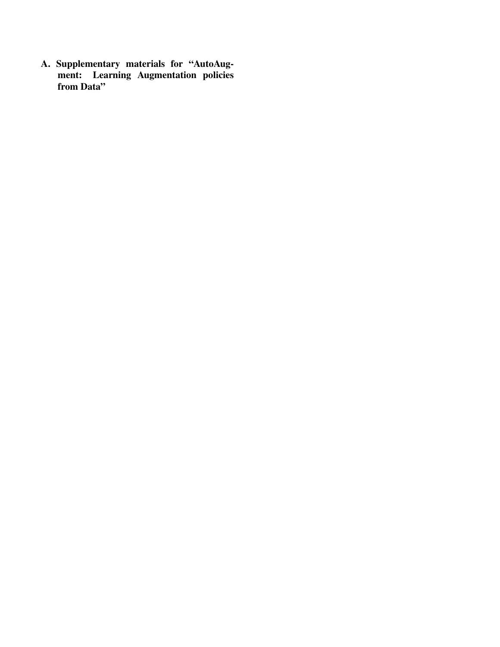A. Supplementary materials for "AutoAugment: Learning Augmentation policies from Data"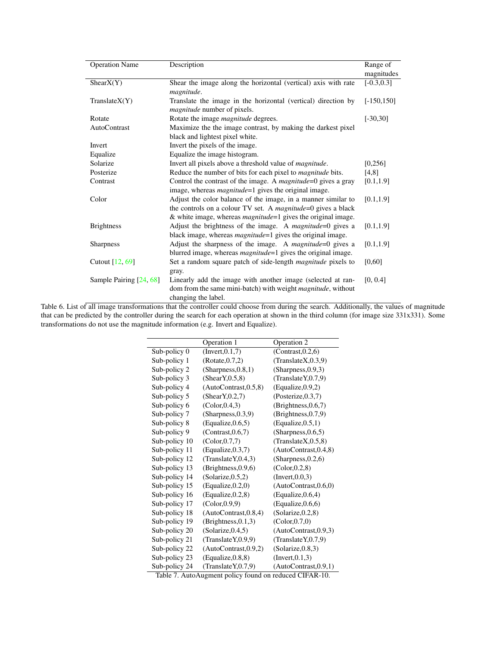| <b>Operation Name</b>   | Description                                                                                                                                                                                                   | Range of      |
|-------------------------|---------------------------------------------------------------------------------------------------------------------------------------------------------------------------------------------------------------|---------------|
|                         |                                                                                                                                                                                                               | magnitudes    |
| ShearX(Y)               | Shear the image along the horizontal (vertical) axis with rate<br>magnitude.                                                                                                                                  | $[-0.3, 0.3]$ |
| TranslateX(Y)           | Translate the image in the horizontal (vertical) direction by<br>magnitude number of pixels.                                                                                                                  | $[-150, 150]$ |
| Rotate                  | Rotate the image <i>magnitude</i> degrees.                                                                                                                                                                    | $[-30, 30]$   |
| <b>AutoContrast</b>     | Maximize the the image contrast, by making the darkest pixel                                                                                                                                                  |               |
|                         | black and lightest pixel white.                                                                                                                                                                               |               |
| Invert                  | Invert the pixels of the image.                                                                                                                                                                               |               |
| Equalize                | Equalize the image histogram.                                                                                                                                                                                 |               |
| Solarize                | Invert all pixels above a threshold value of <i>magnitude</i> .                                                                                                                                               | [0,256]       |
| Posterize               | Reduce the number of bits for each pixel to <i>magnitude</i> bits.                                                                                                                                            | [4,8]         |
| Contrast                | Control the contrast of the image. A <i>magnitude</i> =0 gives a gray<br>image, whereas <i>magnitude</i> =1 gives the original image.                                                                         | [0.1, 1.9]    |
| Color                   | Adjust the color balance of the image, in a manner similar to<br>the controls on a colour TV set. A <i>magnitude</i> =0 gives a black<br>& white image, whereas <i>magnitude</i> =1 gives the original image. | [0.1, 1.9]    |
| <b>Brightness</b>       | Adjust the brightness of the image. A <i>magnitude</i> =0 gives a<br>black image, whereas <i>magnitude</i> =1 gives the original image.                                                                       | [0.1, 1.9]    |
| <b>Sharpness</b>        | Adjust the sharpness of the image. A <i>magnitude</i> =0 gives a<br>blurred image, whereas <i>magnitude</i> =1 gives the original image.                                                                      | [0.1, 1.9]    |
| Cutout [12, 69]         | Set a random square patch of side-length <i>magnitude</i> pixels to<br>gray.                                                                                                                                  | [0,60]        |
| Sample Pairing [24, 68] | Linearly add the image with another image (selected at ran-<br>dom from the same mini-batch) with weight <i>magnitude</i> , without<br>changing the label.                                                    | [0, 0.4]      |

Table 6. List of all image transformations that the controller could choose from during the search. Additionally, the values of magnitude that can be predicted by the controller during the search for each operation at shown in the third column (for image size 331x331). Some transformations do not use the magnitude information (e.g. Invert and Equalize).

|               | Operation 1            | Operation 2            |
|---------------|------------------------|------------------------|
| Sub-policy 0  | (Invert, 0.1, 7)       | (Contrast, 0.2, 6)     |
| Sub-policy 1  | (Rotate, 0.7, 2)       | (Translate X, 0.3, 9)  |
| Sub-policy 2  | (Sharpness, 0.8, 1)    | (Sharpness, 0.9, 3)    |
| Sub-policy 3  | (ShearY, 0.5, 8)       | (Translate Y, 0.7, 9)  |
| Sub-policy 4  | (AutoContrast, 0.5, 8) | (Equalize, 0.9, 2)     |
| Sub-policy 5  | (ShearY, 0.2, 7)       | (Posterize, 0.3, 7)    |
| Sub-policy 6  | (Color, 0.4, 3)        | (Brightness, 0.6, 7)   |
| Sub-policy 7  | (Sharpness, 0.3, 9)    | (Brightness, 0.7, 9)   |
| Sub-policy 8  | (Equalize, 0.6, 5)     | (Equalize, 0.5, 1)     |
| Sub-policy 9  | (Contrast, 0.6, 7)     | (Sharpness, 0.6, 5)    |
| Sub-policy 10 | (Color, 0.7, 7)        | (Translate X, 0.5, 8)  |
| Sub-policy 11 | (Equalize, 0.3, 7)     | (AutoContrast, 0.4, 8) |
| Sub-policy 12 | (Translate Y, 0.4, 3)  | (Sharpness, 0.2, 6)    |
| Sub-policy 13 | (Brightness, 0.9, 6)   | (Color, 0.2, 8)        |
| Sub-policy 14 | (Solarize, 0.5, 2)     | (Invert, 0.0, 3)       |
| Sub-policy 15 | (Equalize, 0.2, 0)     | (AutoContrast, 0.6, 0) |
| Sub-policy 16 | (Equalize, 0.2, 8)     | (Equalize, 0.6, 4)     |
| Sub-policy 17 | (Color, 0.9, 9)        | (Equalize, 0.6, 6)     |
| Sub-policy 18 | (AutoContrast, 0.8, 4) | (Solarize, 0.2, 8)     |
| Sub-policy 19 | (Brightness, 0.1, 3)   | (Color, 0.7, 0)        |
| Sub-policy 20 | (Solarize, 0.4, 5)     | (AutoContrast, 0.9, 3) |
| Sub-policy 21 | (Translate Y, 0.9, 9)  | (Translate Y, 0.7, 9)  |
| Sub-policy 22 | (AutoContrast, 0.9, 2) | (Solarize, 0.8, 3)     |
| Sub-policy 23 | (Equalize, 0.8, 8)     | (Invert, 0.1, 3)       |
| Sub-policy 24 | (Translate Y, 0.7, 9)  | (AutoContrast, 0.9, 1) |

Table 7. AutoAugment policy found on reduced CIFAR-10.